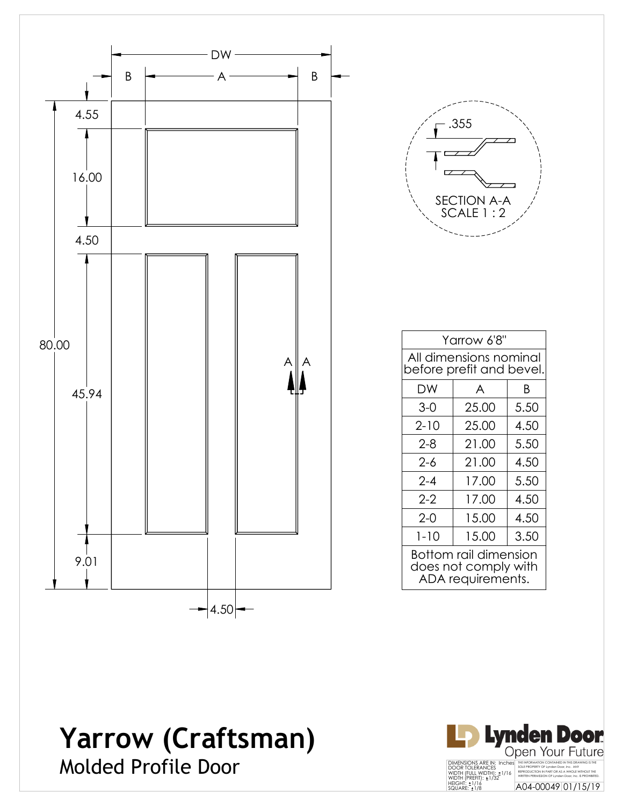

**Yarrow (Craftsman)**



Molded Profile Door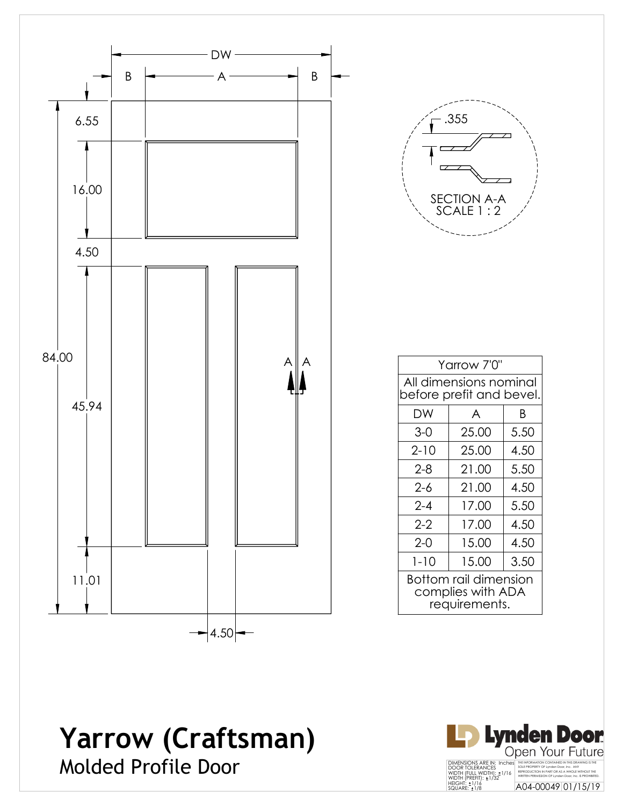

# **Yarrow (Craftsman)**



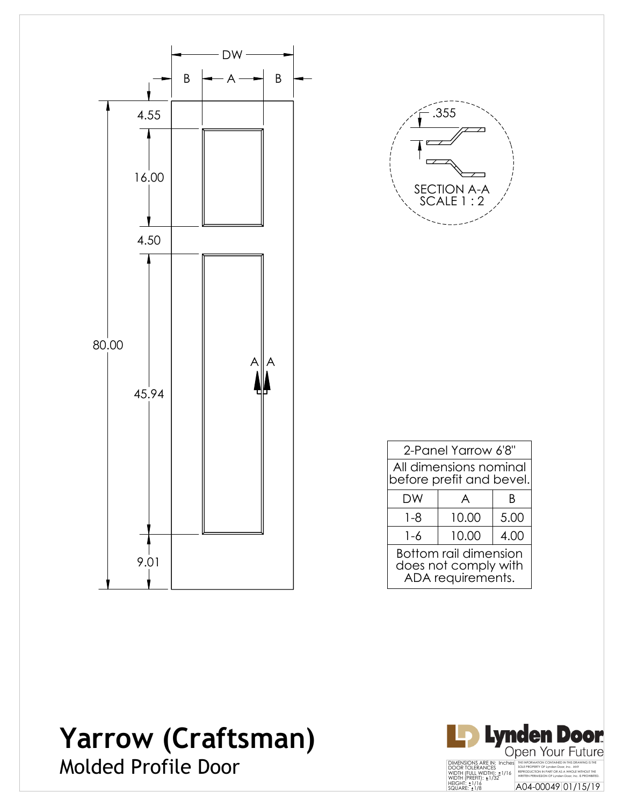



| 2-Panel Yarrow 6'8"                                                       |       |      |  |  |
|---------------------------------------------------------------------------|-------|------|--|--|
| All dimensions nominal<br>before prefit and bevel.                        |       |      |  |  |
| DW                                                                        | A     | R    |  |  |
| $1 - 8$                                                                   | 10.00 | 5.00 |  |  |
| 1-6                                                                       | 10.00 | 4.00 |  |  |
| <b>Bottom rail dimension</b><br>does not comply with<br>ADA requirements. |       |      |  |  |

## **Yarrow (Craftsman)** Molded Profile Door

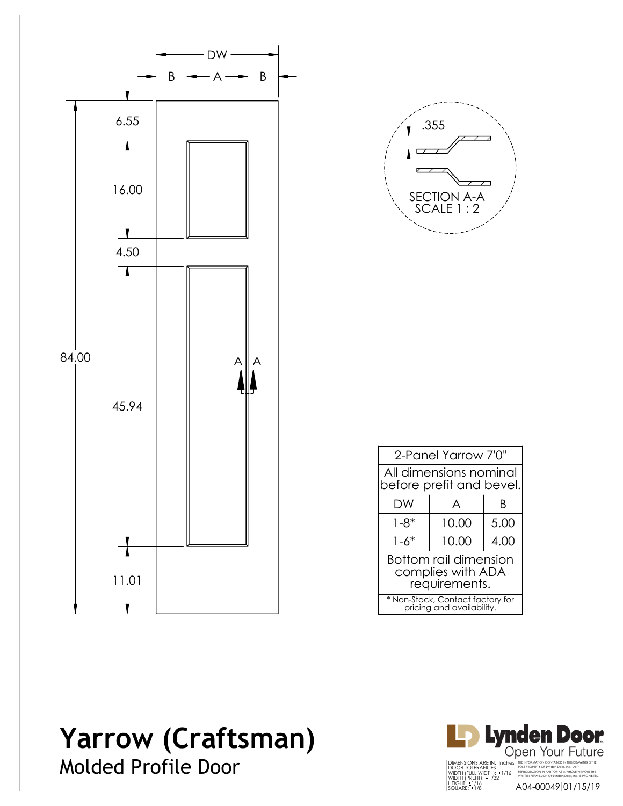

![](_page_3_Picture_1.jpeg)

| 2-Panel Yarrow 7'0"                                                |       |      |  |  |
|--------------------------------------------------------------------|-------|------|--|--|
| All dimensions nominal<br>before prefit and bevel.                 |       |      |  |  |
| DW                                                                 | A     | R    |  |  |
| $1 - 8^*$                                                          | 10.00 | 5.00 |  |  |
| $1 - 6*$                                                           | 10.00 | 4.00 |  |  |
| <b>Bottom rail dimension</b><br>complies with ADA<br>requirements. |       |      |  |  |
| * Non-Stock, Contact factory for<br>pricing and availability.      |       |      |  |  |

#### **Yarrow (Craftsman)** Molded Profile Door

![](_page_3_Picture_4.jpeg)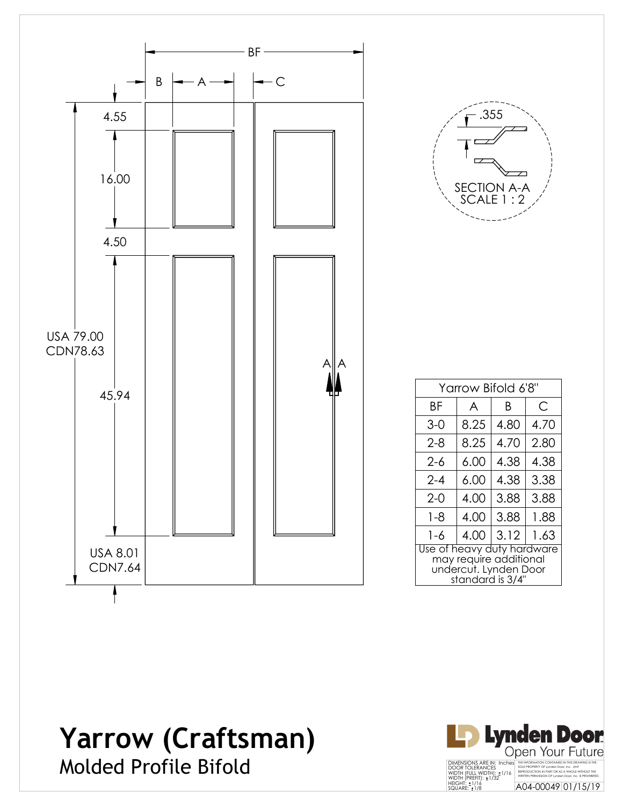![](_page_4_Figure_0.jpeg)

![](_page_4_Picture_1.jpeg)

| Yarrow Bifold 6'8"                                                                                |      |      |      |  |
|---------------------------------------------------------------------------------------------------|------|------|------|--|
| ΒF                                                                                                | A    | B    | С    |  |
| 3-0                                                                                               | 8.25 | 4.80 | 4.70 |  |
| $2 - 8$                                                                                           | 8.25 | 4.70 | 2.80 |  |
| $2 - 6$                                                                                           | 6.00 | 4.38 | 4.38 |  |
| $2 - 4$                                                                                           | 6.00 | 4.38 | 3.38 |  |
| $2-0$                                                                                             | 4.00 | 3.88 | 3.88 |  |
| $1 - 8$                                                                                           | 4.00 | 3.88 | 1.88 |  |
| $1 - 6$                                                                                           | 4.00 | 3.12 | 1.63 |  |
| Use of heavy duty hardware<br>may require additional<br>undercut. Lynden Door<br>standard is 3/4" |      |      |      |  |

# **Yarrow (Craftsman)**

![](_page_4_Picture_4.jpeg)

![](_page_4_Picture_5.jpeg)